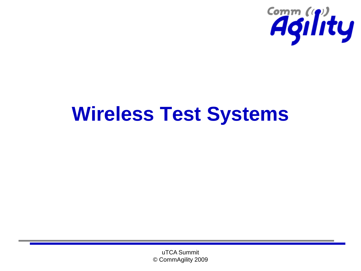

### **Wireless Test Systems**

uTCA Summit © CommAgility 2009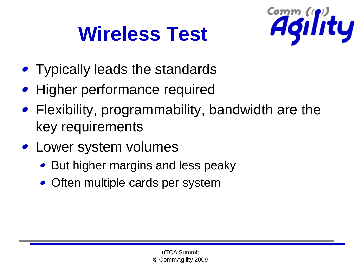# **Wireless Test**



- Typically leads the standards
- Higher performance required
- Flexibility, programmability, bandwidth are the key requirements
- Lower system volumes
	- But higher margins and less peaky
	- Often multiple cards per system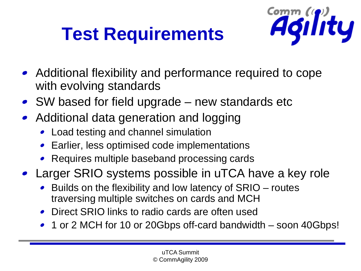## **Test Requirements**



- Additional flexibility and performance required to cope with evolving standards
- SW based for field upgrade new standards etc
- Additional data generation and logging
	- Load testing and channel simulation
	- Earlier, less optimised code implementations
	- Requires multiple baseband processing cards
- Larger SRIO systems possible in uTCA have a key role
	- Builds on the flexibility and low latency of SRIO routes traversing multiple switches on cards and MCH
	- Direct SRIO links to radio cards are often used
	- 1 or 2 MCH for 10 or 20Gbps off-card bandwidth soon 40Gbps!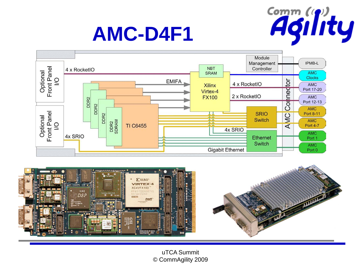

### **AMC-D4F1**





uTCA Summit © CommAgility 2009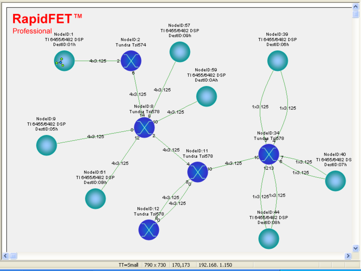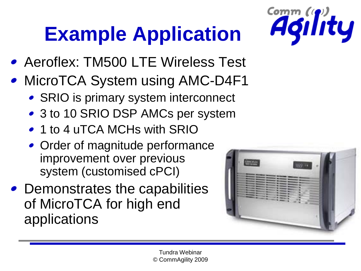# **Example Application**



- Aeroflex: TM500 LTE Wireless Test
- MicroTCA System using AMC-D4F1
	- SRIO is primary system interconnect
	- 3 to 10 SRIO DSP AMCs per system
	- 1 to 4 uTCA MCHs with SRIO
	- Order of magnitude performance improvement over previous system (customised cPCI)
- Demonstrates the capabilities of MicroTCA for high end applications

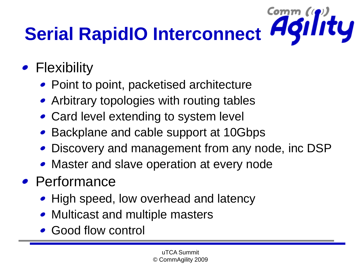### Comm (p)<br>**Agility Serial RapidIO Interconnect**

- Flexibility
	- Point to point, packetised architecture
	- Arbitrary topologies with routing tables
	- Card level extending to system level
	- Backplane and cable support at 10Gbps
	- Discovery and management from any node, inc DSP
	- Master and slave operation at every node
- Performance
	- High speed, low overhead and latency
	- Multicast and multiple masters
	- Good flow control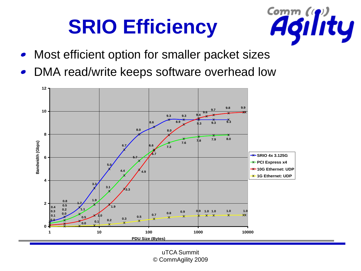# **SRIO Efficiency**



- Most efficient option for smaller packet sizes
- DMA read/write keeps software overhead low



uTCA Summit © CommAgility 2009